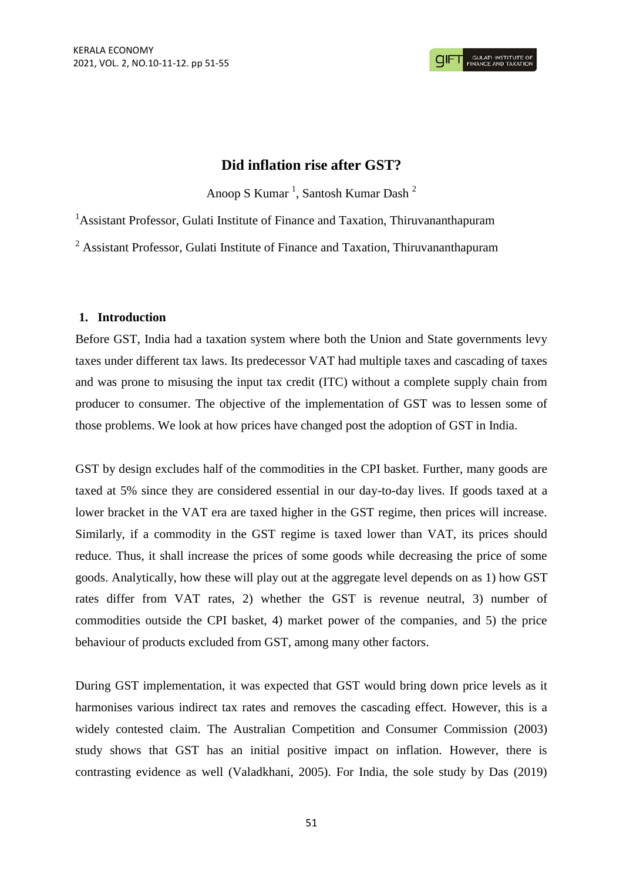# **Did inflation rise after GST?**

Anoop S Kumar<sup>1</sup>, Santosh Kumar Dash<sup>2</sup>

<sup>1</sup>Assistant Professor, Gulati Institute of Finance and Taxation, Thiruvananthapuram

<sup>2</sup> Assistant Professor, Gulati Institute of Finance and Taxation, Thiruvananthapuram

# **1. Introduction**

Before GST, India had a taxation system where both the Union and State governments levy taxes under different tax laws. Its predecessor VAT had multiple taxes and cascading of taxes and was prone to misusing the input tax credit (ITC) without a complete supply chain from producer to consumer. The objective of the implementation of GST was to lessen some of those problems. We look at how prices have changed post the adoption of GST in India.

GST by design excludes half of the commodities in the CPI basket. Further, many goods are taxed at 5% since they are considered essential in our day-to-day lives. If goods taxed at a lower bracket in the VAT era are taxed higher in the GST regime, then prices will increase. Similarly, if a commodity in the GST regime is taxed lower than VAT, its prices should reduce. Thus, it shall increase the prices of some goods while decreasing the price of some goods. Analytically, how these will play out at the aggregate level depends on as 1) how GST rates differ from VAT rates, 2) whether the GST is revenue neutral, 3) number of commodities outside the CPI basket, 4) market power of the companies, and 5) the price behaviour of products excluded from GST, among many other factors.

During GST implementation, it was expected that GST would bring down price levels as it harmonises various indirect tax rates and removes the cascading effect. However, this is a widely contested claim. The Australian Competition and Consumer Commission (2003) study shows that GST has an initial positive impact on inflation. However, there is contrasting evidence as well (Valadkhani, 2005). For India, the sole study by Das (2019)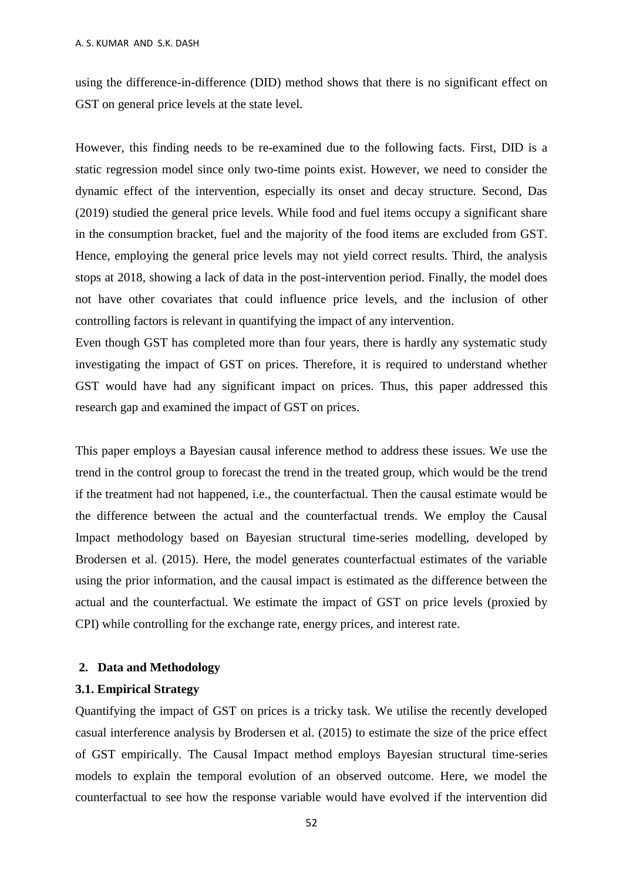using the difference-in-difference (DID) method shows that there is no significant effect on GST on general price levels at the state level.

However, this finding needs to be re-examined due to the following facts. First, DID is a static regression model since only two-time points exist. However, we need to consider the dynamic effect of the intervention, especially its onset and decay structure. Second, Das (2019) studied the general price levels. While food and fuel items occupy a significant share in the consumption bracket, fuel and the majority of the food items are excluded from GST. Hence, employing the general price levels may not yield correct results. Third, the analysis stops at 2018, showing a lack of data in the post-intervention period. Finally, the model does not have other covariates that could influence price levels, and the inclusion of other controlling factors is relevant in quantifying the impact of any intervention.

Even though GST has completed more than four years, there is hardly any systematic study investigating the impact of GST on prices. Therefore, it is required to understand whether GST would have had any significant impact on prices. Thus, this paper addressed this research gap and examined the impact of GST on prices.

This paper employs a Bayesian causal inference method to address these issues. We use the trend in the control group to forecast the trend in the treated group, which would be the trend if the treatment had not happened, i.e., the counterfactual. Then the causal estimate would be the difference between the actual and the counterfactual trends. We employ the Causal Impact methodology based on Bayesian structural time-series modelling, developed by Brodersen et al. (2015). Here, the model generates counterfactual estimates of the variable using the prior information, and the causal impact is estimated as the difference between the actual and the counterfactual. We estimate the impact of GST on price levels (proxied by CPI) while controlling for the exchange rate, energy prices, and interest rate.

## **2. Data and Methodology**

## **3.1. Empirical Strategy**

Quantifying the impact of GST on prices is a tricky task. We utilise the recently developed casual interference analysis by Brodersen et al. (2015) to estimate the size of the price effect of GST empirically. The Causal Impact method employs Bayesian structural time-series models to explain the temporal evolution of an observed outcome. Here, we model the counterfactual to see how the response variable would have evolved if the intervention did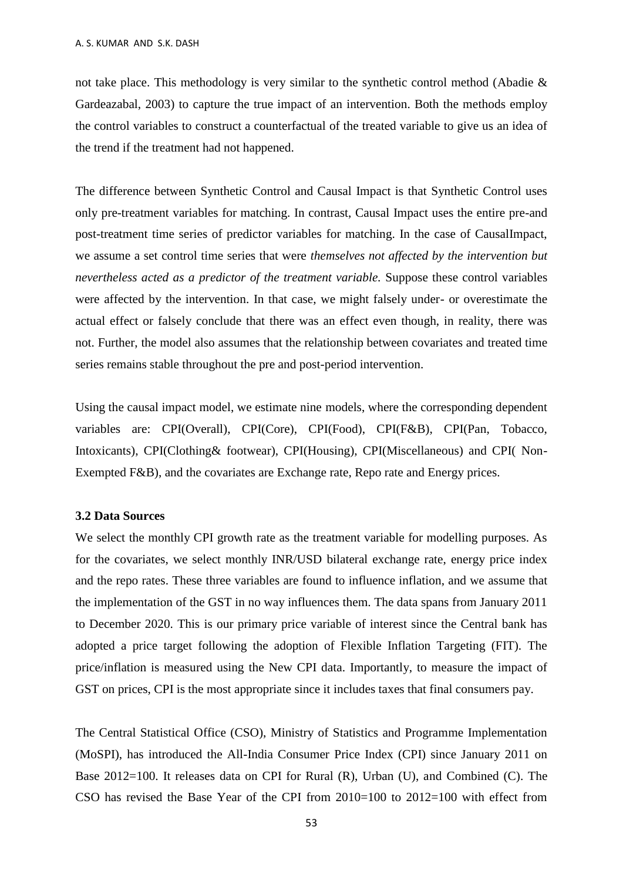not take place. This methodology is very similar to the synthetic control method (Abadie & Gardeazabal, 2003) to capture the true impact of an intervention. Both the methods employ the control variables to construct a counterfactual of the treated variable to give us an idea of the trend if the treatment had not happened.

The difference between Synthetic Control and Causal Impact is that Synthetic Control uses only pre-treatment variables for matching. In contrast, Causal Impact uses the entire pre-and post-treatment time series of predictor variables for matching. In the case of CausalImpact, we assume a set control time series that were *themselves not affected by the intervention but nevertheless acted as a predictor of the treatment variable.* Suppose these control variables were affected by the intervention. In that case, we might falsely under- or overestimate the actual effect or falsely conclude that there was an effect even though, in reality, there was not. Further, the model also assumes that the relationship between covariates and treated time series remains stable throughout the pre and post-period intervention.

Using the causal impact model, we estimate nine models, where the corresponding dependent variables are: CPI(Overall), CPI(Core), CPI(Food), CPI(F&B), CPI(Pan, Tobacco, Intoxicants), CPI(Clothing& footwear), CPI(Housing), CPI(Miscellaneous) and CPI( Non-Exempted F&B), and the covariates are Exchange rate, Repo rate and Energy prices.

## **3.2 Data Sources**

We select the monthly CPI growth rate as the treatment variable for modelling purposes. As for the covariates, we select monthly INR/USD bilateral exchange rate, energy price index and the repo rates. These three variables are found to influence inflation, and we assume that the implementation of the GST in no way influences them. The data spans from January 2011 to December 2020. This is our primary price variable of interest since the Central bank has adopted a price target following the adoption of Flexible Inflation Targeting (FIT). The price/inflation is measured using the New CPI data. Importantly, to measure the impact of GST on prices, CPI is the most appropriate since it includes taxes that final consumers pay.

The Central Statistical Office (CSO), Ministry of Statistics and Programme Implementation (MoSPI), has introduced the All-India Consumer Price Index (CPI) since January 2011 on Base 2012=100. It releases data on CPI for Rural (R), Urban (U), and Combined (C). The CSO has revised the Base Year of the CPI from 2010=100 to 2012=100 with effect from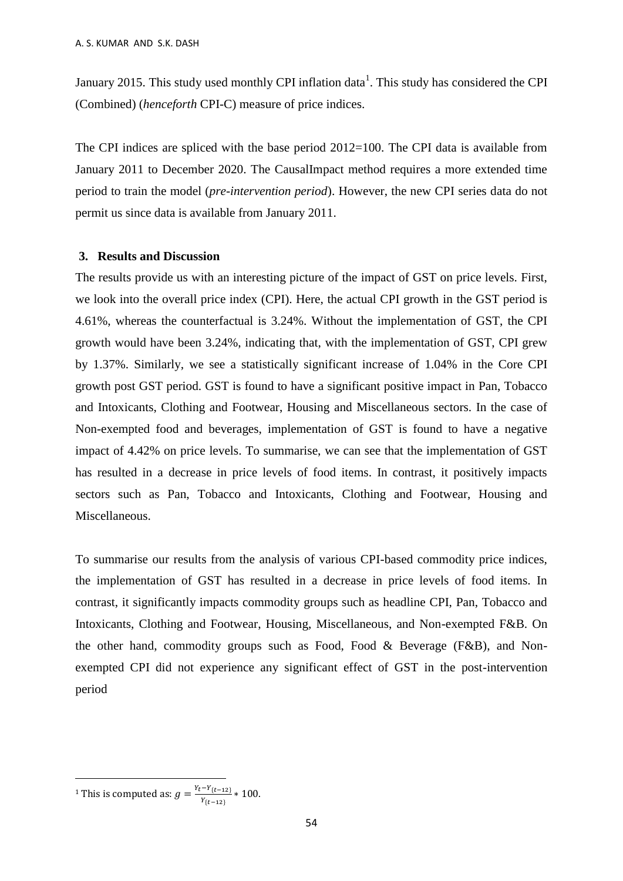January 2015. This study used monthly CPI inflation data<sup>1</sup>. This study has considered the CPI (Combined) (*henceforth* CPI-C) measure of price indices.

The CPI indices are spliced with the base period 2012=100. The CPI data is available from January 2011 to December 2020. The CausalImpact method requires a more extended time period to train the model (*pre-intervention period*). However, the new CPI series data do not permit us since data is available from January 2011.

#### **3. Results and Discussion**

The results provide us with an interesting picture of the impact of GST on price levels. First, we look into the overall price index (CPI). Here, the actual CPI growth in the GST period is 4.61%, whereas the counterfactual is 3.24%. Without the implementation of GST, the CPI growth would have been 3.24%, indicating that, with the implementation of GST, CPI grew by 1.37%. Similarly, we see a statistically significant increase of 1.04% in the Core CPI growth post GST period. GST is found to have a significant positive impact in Pan, Tobacco and Intoxicants, Clothing and Footwear, Housing and Miscellaneous sectors. In the case of Non-exempted food and beverages, implementation of GST is found to have a negative impact of 4.42% on price levels. To summarise, we can see that the implementation of GST has resulted in a decrease in price levels of food items. In contrast, it positively impacts sectors such as Pan, Tobacco and Intoxicants, Clothing and Footwear, Housing and Miscellaneous.

To summarise our results from the analysis of various CPI-based commodity price indices, the implementation of GST has resulted in a decrease in price levels of food items. In contrast, it significantly impacts commodity groups such as headline CPI, Pan, Tobacco and Intoxicants, Clothing and Footwear, Housing, Miscellaneous, and Non-exempted F&B. On the other hand, commodity groups such as Food, Food & Beverage (F&B), and Nonexempted CPI did not experience any significant effect of GST in the post-intervention period

1

<sup>&</sup>lt;sup>1</sup> This is computed as:  $g = \frac{Y_t - Y_{\{t-12\}}}{V}$  $\frac{r_{\{t-12\}}}{r_{\{t-12\}}}$  \* 100.